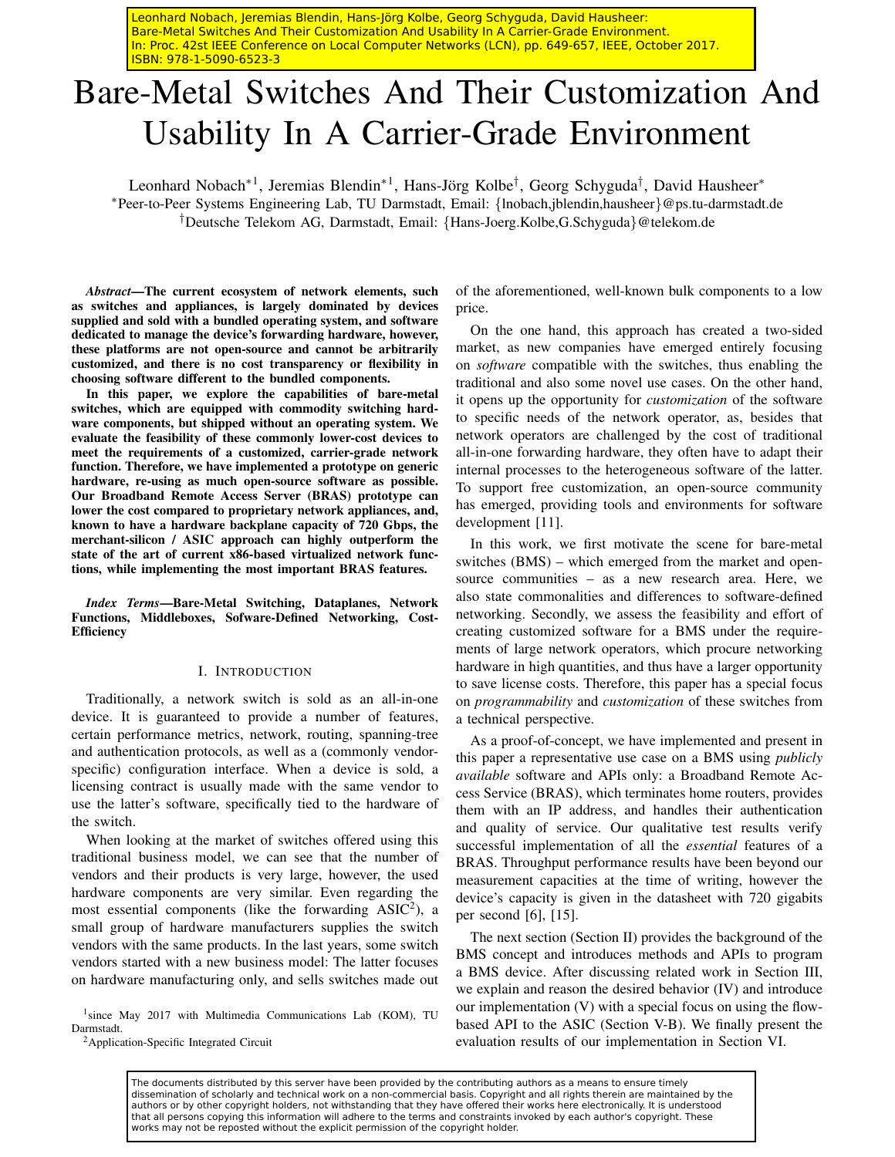# Bare-Metal Switches And Their Customization And Usability In A Carrier-Grade Environment

Leonhard Nobach<sup>∗1</sup>, Jeremias Blendin<sup>∗1</sup>, Hans-Jörg Kolbe<sup>†</sup>, Georg Schyguda<sup>†</sup>, David Hausheer<sup>∗</sup> <sup>∗</sup>Peer-to-Peer Systems Engineering Lab, TU Darmstadt, Email: {lnobach,jblendin,hausheer}@ps.tu-darmstadt.de †Deutsche Telekom AG, Darmstadt, Email: {Hans-Joerg.Kolbe,G.Schyguda}@telekom.de

*Abstract*—The current ecosystem of network elements, such as switches and appliances, is largely dominated by devices supplied and sold with a bundled operating system, and software dedicated to manage the device's forwarding hardware, however, these platforms are not open-source and cannot be arbitrarily customized, and there is no cost transparency or flexibility in choosing software different to the bundled components.

In this paper, we explore the capabilities of bare-metal switches, which are equipped with commodity switching hardware components, but shipped without an operating system. We evaluate the feasibility of these commonly lower-cost devices to meet the requirements of a customized, carrier-grade network function. Therefore, we have implemented a prototype on generic hardware, re-using as much open-source software as possible. Our Broadband Remote Access Server (BRAS) prototype can lower the cost compared to proprietary network appliances, and, known to have a hardware backplane capacity of 720 Gbps, the merchant-silicon / ASIC approach can highly outperform the state of the art of current x86-based virtualized network functions, while implementing the most important BRAS features.

*Index Terms*—Bare-Metal Switching, Dataplanes, Network Functions, Middleboxes, Sofware-Defined Networking, Cost-**Efficiency** 

#### I. INTRODUCTION

Traditionally, a network switch is sold as an all-in-one device. It is guaranteed to provide a number of features, certain performance metrics, network, routing, spanning-tree and authentication protocols, as well as a (commonly vendorspecific) configuration interface. When a device is sold, a licensing contract is usually made with the same vendor to use the latter's software, specifically tied to the hardware of the switch.

When looking at the market of switches offered using this traditional business model, we can see that the number of vendors and their products is very large, however, the used hardware components are very similar. Even regarding the most essential components (like the forwarding  $ASIC<sup>2</sup>$ ), a small group of hardware manufacturers supplies the switch vendors with the same products. In the last years, some switch vendors started with a new business model: The latter focuses on hardware manufacturing only, and sells switches made out

<sup>1</sup>since May 2017 with Multimedia Communications Lab (KOM), TU Darmstadt.

<sup>2</sup> Application-Specific Integrated Circuit

of the aforementioned, well-known bulk components to a low price.

On the one hand, this approach has created a two-sided market, as new companies have emerged entirely focusing on *software* compatible with the switches, thus enabling the traditional and also some novel use cases. On the other hand, it opens up the opportunity for *customization* of the software to specific needs of the network operator, as, besides that network operators are challenged by the cost of traditional all-in-one forwarding hardware, they often have to adapt their internal processes to the heterogeneous software of the latter. To support free customization, an open-source community has emerged, providing tools and environments for software development [11].

In this work, we first motivate the scene for bare-metal switches (BMS) – which emerged from the market and opensource communities – as a new research area. Here, we also state commonalities and differences to software-defined networking. Secondly, we assess the feasibility and effort of creating customized software for a BMS under the requirements of large network operators, which procure networking hardware in high quantities, and thus have a larger opportunity to save license costs. Therefore, this paper has a special focus on *programmability* and *customization* of these switches from a technical perspective.

As a proof-of-concept, we have implemented and present in this paper a representative use case on a BMS using *publicly available* software and APIs only: a Broadband Remote Access Service (BRAS), which terminates home routers, provides them with an IP address, and handles their authentication and quality of service. Our qualitative test results verify successful implementation of all the *essential* features of a BRAS. Throughput performance results have been beyond our measurement capacities at the time of writing, however the device's capacity is given in the datasheet with 720 gigabits per second [6], [15].

The next section (Section II) provides the background of the BMS concept and introduces methods and APIs to program a BMS device. After discussing related work in Section III, we explain and reason the desired behavior (IV) and introduce our implementation (V) with a special focus on using the flowbased API to the ASIC (Section V-B). We finally present the evaluation results of our implementation in Section VI.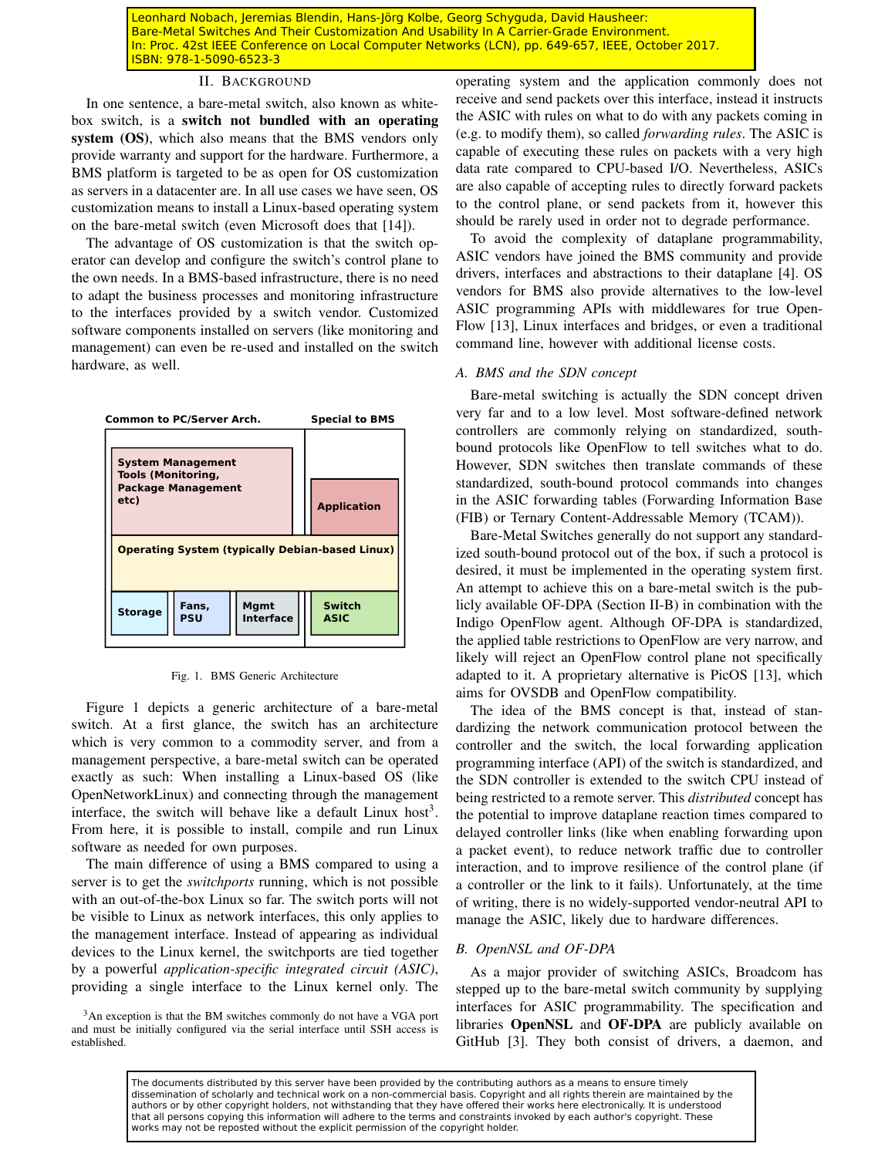# II. BACKGROUND

In one sentence, a bare-metal switch, also known as whitebox switch, is a switch not bundled with an operating system (OS), which also means that the BMS vendors only provide warranty and support for the hardware. Furthermore, a BMS platform is targeted to be as open for OS customization as servers in a datacenter are. In all use cases we have seen, OS customization means to install a Linux-based operating system on the bare-metal switch (even Microsoft does that [14]).

The advantage of OS customization is that the switch operator can develop and configure the switch's control plane to the own needs. In a BMS-based infrastructure, there is no need to adapt the business processes and monitoring infrastructure to the interfaces provided by a switch vendor. Customized software components installed on servers (like monitoring and management) can even be re-used and installed on the switch hardware, as well.



Fig. 1. BMS Generic Architecture

Figure 1 depicts a generic architecture of a bare-metal switch. At a first glance, the switch has an architecture which is very common to a commodity server, and from a management perspective, a bare-metal switch can be operated exactly as such: When installing a Linux-based OS (like OpenNetworkLinux) and connecting through the management interface, the switch will behave like a default Linux host<sup>3</sup>. From here, it is possible to install, compile and run Linux software as needed for own purposes.

The main difference of using a BMS compared to using a server is to get the *switchports* running, which is not possible with an out-of-the-box Linux so far. The switch ports will not be visible to Linux as network interfaces, this only applies to the management interface. Instead of appearing as individual devices to the Linux kernel, the switchports are tied together by a powerful *application-specific integrated circuit (ASIC)*, providing a single interface to the Linux kernel only. The

<sup>3</sup>An exception is that the BM switches commonly do not have a VGA port and must be initially configured via the serial interface until SSH access is established.

operating system and the application commonly does not receive and send packets over this interface, instead it instructs the ASIC with rules on what to do with any packets coming in (e.g. to modify them), so called *forwarding rules*. The ASIC is capable of executing these rules on packets with a very high data rate compared to CPU-based I/O. Nevertheless, ASICs are also capable of accepting rules to directly forward packets to the control plane, or send packets from it, however this should be rarely used in order not to degrade performance.

To avoid the complexity of dataplane programmability, ASIC vendors have joined the BMS community and provide drivers, interfaces and abstractions to their dataplane [4]. OS vendors for BMS also provide alternatives to the low-level ASIC programming APIs with middlewares for true Open-Flow [13], Linux interfaces and bridges, or even a traditional command line, however with additional license costs.

## *A. BMS and the SDN concept*

Bare-metal switching is actually the SDN concept driven very far and to a low level. Most software-defined network controllers are commonly relying on standardized, southbound protocols like OpenFlow to tell switches what to do. However, SDN switches then translate commands of these standardized, south-bound protocol commands into changes in the ASIC forwarding tables (Forwarding Information Base (FIB) or Ternary Content-Addressable Memory (TCAM)).

Bare-Metal Switches generally do not support any standardized south-bound protocol out of the box, if such a protocol is desired, it must be implemented in the operating system first. An attempt to achieve this on a bare-metal switch is the publicly available OF-DPA (Section II-B) in combination with the Indigo OpenFlow agent. Although OF-DPA is standardized, the applied table restrictions to OpenFlow are very narrow, and likely will reject an OpenFlow control plane not specifically adapted to it. A proprietary alternative is PicOS [13], which aims for OVSDB and OpenFlow compatibility.

The idea of the BMS concept is that, instead of standardizing the network communication protocol between the controller and the switch, the local forwarding application programming interface (API) of the switch is standardized, and the SDN controller is extended to the switch CPU instead of being restricted to a remote server. This *distributed* concept has the potential to improve dataplane reaction times compared to delayed controller links (like when enabling forwarding upon a packet event), to reduce network traffic due to controller interaction, and to improve resilience of the control plane (if a controller or the link to it fails). Unfortunately, at the time of writing, there is no widely-supported vendor-neutral API to manage the ASIC, likely due to hardware differences.

## *B. OpenNSL and OF-DPA*

As a major provider of switching ASICs, Broadcom has stepped up to the bare-metal switch community by supplying interfaces for ASIC programmability. The specification and libraries OpenNSL and OF-DPA are publicly available on GitHub [3]. They both consist of drivers, a daemon, and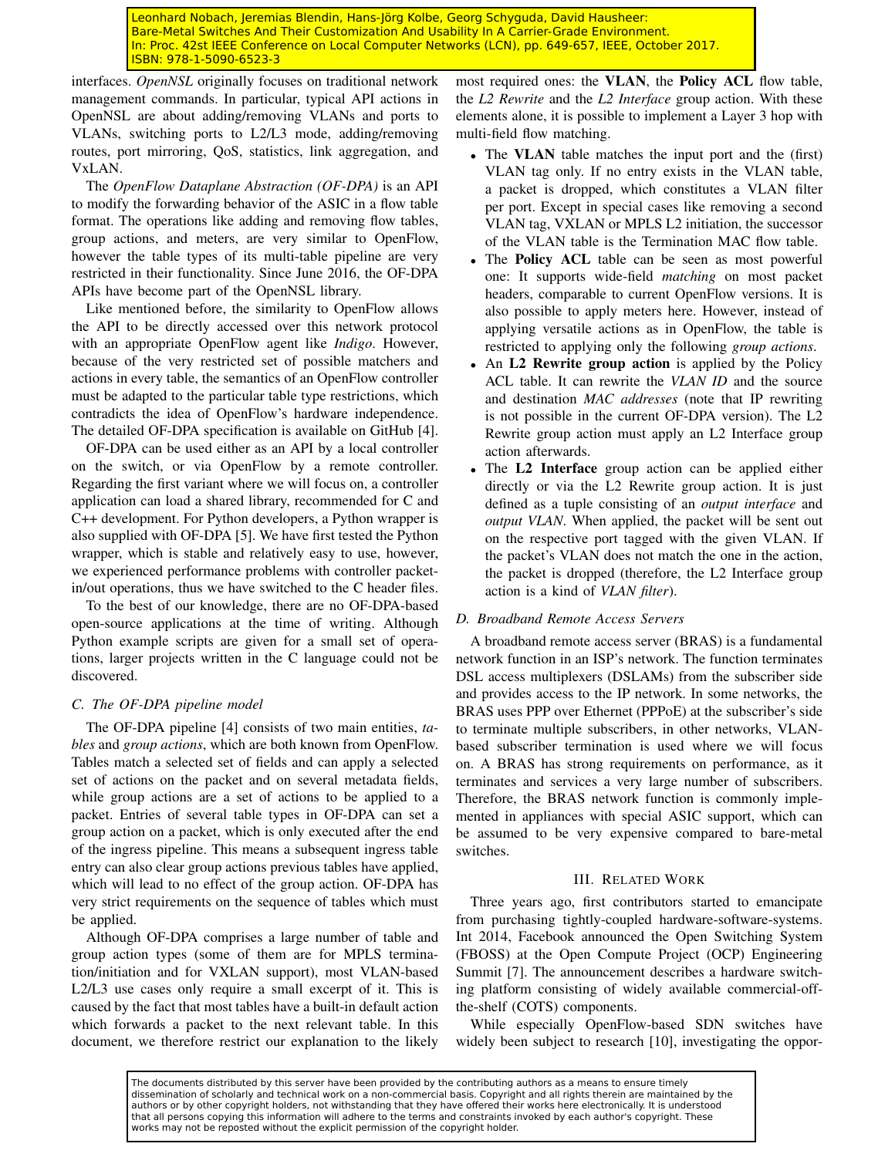interfaces. *OpenNSL* originally focuses on traditional network management commands. In particular, typical API actions in OpenNSL are about adding/removing VLANs and ports to VLANs, switching ports to L2/L3 mode, adding/removing routes, port mirroring, QoS, statistics, link aggregation, and VxLAN.

The *OpenFlow Dataplane Abstraction (OF-DPA)* is an API to modify the forwarding behavior of the ASIC in a flow table format. The operations like adding and removing flow tables, group actions, and meters, are very similar to OpenFlow, however the table types of its multi-table pipeline are very restricted in their functionality. Since June 2016, the OF-DPA APIs have become part of the OpenNSL library.

Like mentioned before, the similarity to OpenFlow allows the API to be directly accessed over this network protocol with an appropriate OpenFlow agent like *Indigo*. However, because of the very restricted set of possible matchers and actions in every table, the semantics of an OpenFlow controller must be adapted to the particular table type restrictions, which contradicts the idea of OpenFlow's hardware independence. The detailed OF-DPA specification is available on GitHub [4].

OF-DPA can be used either as an API by a local controller on the switch, or via OpenFlow by a remote controller. Regarding the first variant where we will focus on, a controller application can load a shared library, recommended for C and C++ development. For Python developers, a Python wrapper is also supplied with OF-DPA [5]. We have first tested the Python wrapper, which is stable and relatively easy to use, however, we experienced performance problems with controller packetin/out operations, thus we have switched to the C header files.

To the best of our knowledge, there are no OF-DPA-based open-source applications at the time of writing. Although Python example scripts are given for a small set of operations, larger projects written in the C language could not be discovered.

# *C. The OF-DPA pipeline model*

The OF-DPA pipeline [4] consists of two main entities, *tables* and *group actions*, which are both known from OpenFlow. Tables match a selected set of fields and can apply a selected set of actions on the packet and on several metadata fields, while group actions are a set of actions to be applied to a packet. Entries of several table types in OF-DPA can set a group action on a packet, which is only executed after the end of the ingress pipeline. This means a subsequent ingress table entry can also clear group actions previous tables have applied, which will lead to no effect of the group action. OF-DPA has very strict requirements on the sequence of tables which must be applied.

Although OF-DPA comprises a large number of table and group action types (some of them are for MPLS termination/initiation and for VXLAN support), most VLAN-based L2/L3 use cases only require a small excerpt of it. This is caused by the fact that most tables have a built-in default action which forwards a packet to the next relevant table. In this document, we therefore restrict our explanation to the likely most required ones: the VLAN, the Policy ACL flow table, the *L2 Rewrite* and the *L2 Interface* group action. With these elements alone, it is possible to implement a Layer 3 hop with multi-field flow matching.

- The **VLAN** table matches the input port and the (first) VLAN tag only. If no entry exists in the VLAN table, a packet is dropped, which constitutes a VLAN filter per port. Except in special cases like removing a second VLAN tag, VXLAN or MPLS L2 initiation, the successor of the VLAN table is the Termination MAC flow table.
- The Policy ACL table can be seen as most powerful one: It supports wide-field *matching* on most packet headers, comparable to current OpenFlow versions. It is also possible to apply meters here. However, instead of applying versatile actions as in OpenFlow, the table is restricted to applying only the following *group actions*.
- An L2 Rewrite group action is applied by the Policy ACL table. It can rewrite the *VLAN ID* and the source and destination *MAC addresses* (note that IP rewriting is not possible in the current OF-DPA version). The L2 Rewrite group action must apply an L2 Interface group action afterwards.
- The L2 Interface group action can be applied either directly or via the L2 Rewrite group action. It is just defined as a tuple consisting of an *output interface* and *output VLAN*. When applied, the packet will be sent out on the respective port tagged with the given VLAN. If the packet's VLAN does not match the one in the action, the packet is dropped (therefore, the L2 Interface group action is a kind of *VLAN filter*).

# *D. Broadband Remote Access Servers*

A broadband remote access server (BRAS) is a fundamental network function in an ISP's network. The function terminates DSL access multiplexers (DSLAMs) from the subscriber side and provides access to the IP network. In some networks, the BRAS uses PPP over Ethernet (PPPoE) at the subscriber's side to terminate multiple subscribers, in other networks, VLANbased subscriber termination is used where we will focus on. A BRAS has strong requirements on performance, as it terminates and services a very large number of subscribers. Therefore, the BRAS network function is commonly implemented in appliances with special ASIC support, which can be assumed to be very expensive compared to bare-metal switches.

## III. RELATED WORK

Three years ago, first contributors started to emancipate from purchasing tightly-coupled hardware-software-systems. Int 2014, Facebook announced the Open Switching System (FBOSS) at the Open Compute Project (OCP) Engineering Summit [7]. The announcement describes a hardware switching platform consisting of widely available commercial-offthe-shelf (COTS) components.

While especially OpenFlow-based SDN switches have widely been subject to research [10], investigating the oppor-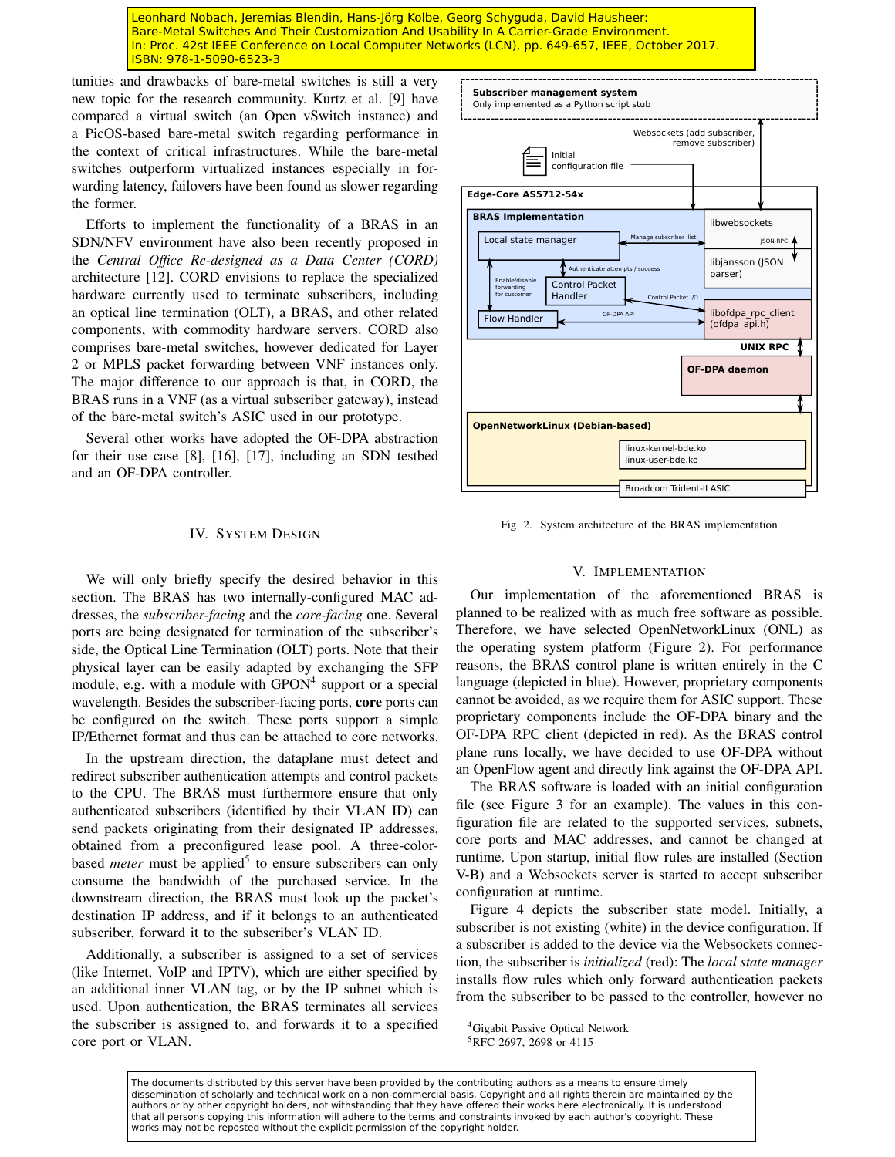tunities and drawbacks of bare-metal switches is still a very new topic for the research community. Kurtz et al. [9] have compared a virtual switch (an Open vSwitch instance) and a PicOS-based bare-metal switch regarding performance in the context of critical infrastructures. While the bare-metal switches outperform virtualized instances especially in forwarding latency, failovers have been found as slower regarding the former.

Efforts to implement the functionality of a BRAS in an SDN/NFV environment have also been recently proposed in the *Central Office Re-designed as a Data Center (CORD)* architecture [12]. CORD envisions to replace the specialized hardware currently used to terminate subscribers, including an optical line termination (OLT), a BRAS, and other related components, with commodity hardware servers. CORD also comprises bare-metal switches, however dedicated for Layer 2 or MPLS packet forwarding between VNF instances only. The major difference to our approach is that, in CORD, the BRAS runs in a VNF (as a virtual subscriber gateway), instead of the bare-metal switch's ASIC used in our prototype.

Several other works have adopted the OF-DPA abstraction for their use case [8], [16], [17], including an SDN testbed and an OF-DPA controller.

## IV. SYSTEM DESIGN

We will only briefly specify the desired behavior in this section. The BRAS has two internally-configured MAC addresses, the *subscriber-facing* and the *core-facing* one. Several ports are being designated for termination of the subscriber's side, the Optical Line Termination (OLT) ports. Note that their physical layer can be easily adapted by exchanging the SFP module, e.g. with a module with  $GPON<sup>4</sup>$  support or a special wavelength. Besides the subscriber-facing ports, core ports can be configured on the switch. These ports support a simple IP/Ethernet format and thus can be attached to core networks.

In the upstream direction, the dataplane must detect and redirect subscriber authentication attempts and control packets to the CPU. The BRAS must furthermore ensure that only authenticated subscribers (identified by their VLAN ID) can send packets originating from their designated IP addresses, obtained from a preconfigured lease pool. A three-colorbased *meter* must be applied<sup>5</sup> to ensure subscribers can only consume the bandwidth of the purchased service. In the downstream direction, the BRAS must look up the packet's destination IP address, and if it belongs to an authenticated subscriber, forward it to the subscriber's VLAN ID.

Additionally, a subscriber is assigned to a set of services (like Internet, VoIP and IPTV), which are either specified by an additional inner VLAN tag, or by the IP subnet which is used. Upon authentication, the BRAS terminates all services the subscriber is assigned to, and forwards it to a specified core port or VLAN.



Fig. 2. System architecture of the BRAS implementation

## V. IMPLEMENTATION

Our implementation of the aforementioned BRAS is planned to be realized with as much free software as possible. Therefore, we have selected OpenNetworkLinux (ONL) as the operating system platform (Figure 2). For performance reasons, the BRAS control plane is written entirely in the C language (depicted in blue). However, proprietary components cannot be avoided, as we require them for ASIC support. These proprietary components include the OF-DPA binary and the OF-DPA RPC client (depicted in red). As the BRAS control plane runs locally, we have decided to use OF-DPA without an OpenFlow agent and directly link against the OF-DPA API.

The BRAS software is loaded with an initial configuration file (see Figure 3 for an example). The values in this configuration file are related to the supported services, subnets, core ports and MAC addresses, and cannot be changed at runtime. Upon startup, initial flow rules are installed (Section V-B) and a Websockets server is started to accept subscriber configuration at runtime.

Figure 4 depicts the subscriber state model. Initially, a subscriber is not existing (white) in the device configuration. If a subscriber is added to the device via the Websockets connection, the subscriber is *initialized* (red): The *local state manager* installs flow rules which only forward authentication packets from the subscriber to be passed to the controller, however no

<sup>4</sup>Gigabit Passive Optical Network <sup>5</sup>RFC 2697, 2698 or 4115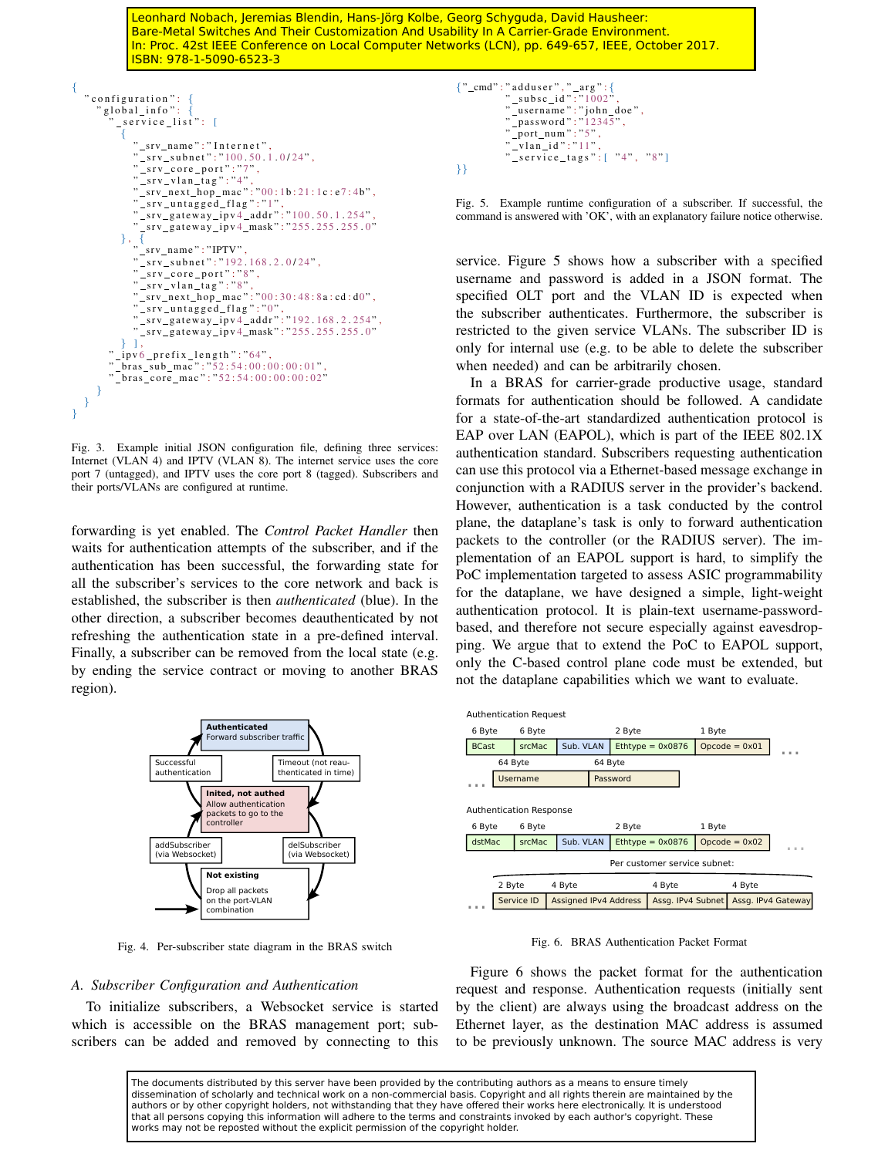

Fig. 3. Example initial JSON configuration file, defining three services: Internet (VLAN 4) and IPTV (VLAN 8). The internet service uses the core port 7 (untagged), and IPTV uses the core port 8 (tagged). Subscribers and their ports/VLANs are configured at runtime.

forwarding is yet enabled. The *Control Packet Handler* then waits for authentication attempts of the subscriber, and if the authentication has been successful, the forwarding state for all the subscriber's services to the core network and back is established, the subscriber is then *authenticated* (blue). In the other direction, a subscriber becomes deauthenticated by not refreshing the authentication state in a pre-defined interval. Finally, a subscriber can be removed from the local state (e.g. by ending the service contract or moving to another BRAS region).



Fig. 4. Per-subscriber state diagram in the BRAS switch

#### *A. Subscriber Configuration and Authentication*

To initialize subscribers, a Websocket service is started which is accessible on the BRAS management port; subscribers can be added and removed by connecting to this



Fig. 5. Example runtime configuration of a subscriber. If successful, the command is answered with 'OK', with an explanatory failure notice otherwise.

service. Figure 5 shows how a subscriber with a specified username and password is added in a JSON format. The specified OLT port and the VLAN ID is expected when the subscriber authenticates. Furthermore, the subscriber is restricted to the given service VLANs. The subscriber ID is only for internal use (e.g. to be able to delete the subscriber when needed) and can be arbitrarily chosen.

In a BRAS for carrier-grade productive usage, standard formats for authentication should be followed. A candidate for a state-of-the-art standardized authentication protocol is EAP over LAN (EAPOL), which is part of the IEEE 802.1X authentication standard. Subscribers requesting authentication can use this protocol via a Ethernet-based message exchange in conjunction with a RADIUS server in the provider's backend. However, authentication is a task conducted by the control plane, the dataplane's task is only to forward authentication packets to the controller (or the RADIUS server). The implementation of an EAPOL support is hard, to simplify the PoC implementation targeted to assess ASIC programmability for the dataplane, we have designed a simple, light-weight authentication protocol. It is plain-text username-passwordbased, and therefore not secure especially against eavesdropping. We argue that to extend the PoC to EAPOL support, only the C-based control plane code must be extended, but not the dataplane capabilities which we want to evaluate.

| <b>Authentication Request</b> |                               |                         |           |                           |                       |                           |                 |                   |        |                    |  |
|-------------------------------|-------------------------------|-------------------------|-----------|---------------------------|-----------------------|---------------------------|-----------------|-------------------|--------|--------------------|--|
| 6 Byte                        | 6 Byte                        |                         |           |                           | 2 Byte                |                           |                 | 1 Byte            |        |                    |  |
| <b>BCast</b>                  |                               | srcMac                  | Sub. VLAN |                           |                       | Ethtype = $0 \times 0876$ |                 | $Opcode = 0x01$   |        |                    |  |
| 64 Byte                       |                               |                         |           |                           | 64 Byte               |                           |                 |                   |        |                    |  |
|                               |                               | Username                |           | Password                  |                       |                           |                 |                   |        |                    |  |
|                               |                               |                         |           |                           |                       |                           |                 |                   |        |                    |  |
|                               |                               | Authentication Response |           |                           |                       |                           |                 |                   |        |                    |  |
| 6 Byte<br>6 Byte              |                               |                         | 2 Byte    |                           |                       |                           | 1 Byte          |                   |        |                    |  |
|                               | Sub. VLAN<br>dstMac<br>srcMac |                         |           | Ethtype = $0 \times 0876$ |                       |                           | $Opcode = 0x02$ |                   |        |                    |  |
| Per customer service subnet:  |                               |                         |           |                           |                       |                           |                 |                   |        |                    |  |
|                               | 2 Byte                        |                         | 4 Byte    |                           |                       | 4 Byte                    |                 |                   | 4 Byte |                    |  |
|                               |                               | Service ID              |           |                           | Assigned IPv4 Address |                           |                 | Assg. IPv4 Subnet |        | Assg. IPv4 Gateway |  |
|                               |                               |                         |           |                           |                       |                           |                 |                   |        |                    |  |

Fig. 6. BRAS Authentication Packet Format

Figure 6 shows the packet format for the authentication request and response. Authentication requests (initially sent by the client) are always using the broadcast address on the Ethernet layer, as the destination MAC address is assumed to be previously unknown. The source MAC address is very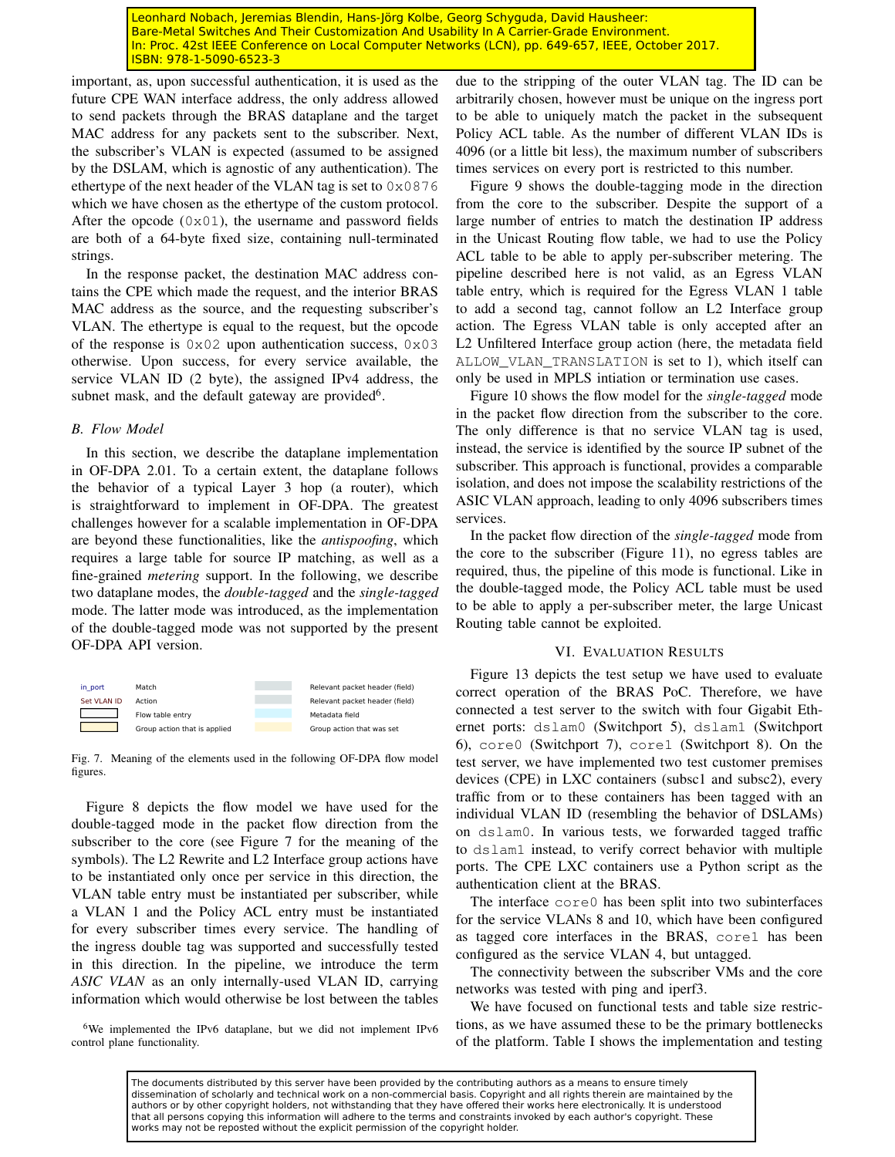important, as, upon successful authentication, it is used as the future CPE WAN interface address, the only address allowed to send packets through the BRAS dataplane and the target MAC address for any packets sent to the subscriber. Next, the subscriber's VLAN is expected (assumed to be assigned by the DSLAM, which is agnostic of any authentication). The ethertype of the next header of the VLAN tag is set to  $0 \times 0876$ which we have chosen as the ethertype of the custom protocol. After the opcode  $(0x01)$ , the username and password fields are both of a 64-byte fixed size, containing null-terminated strings.

In the response packet, the destination MAC address contains the CPE which made the request, and the interior BRAS MAC address as the source, and the requesting subscriber's VLAN. The ethertype is equal to the request, but the opcode of the response is  $0 \times 02$  upon authentication success,  $0 \times 03$ otherwise. Upon success, for every service available, the service VLAN ID (2 byte), the assigned IPv4 address, the subnet mask, and the default gateway are provided<sup>6</sup>.

### *B. Flow Model*

In this section, we describe the dataplane implementation in OF-DPA 2.01. To a certain extent, the dataplane follows the behavior of a typical Layer 3 hop (a router), which is straightforward to implement in OF-DPA. The greatest challenges however for a scalable implementation in OF-DPA are beyond these functionalities, like the *antispoofing*, which requires a large table for source IP matching, as well as a fine-grained *metering* support. In the following, we describe two dataplane modes, the *double-tagged* and the *single-tagged* mode. The latter mode was introduced, as the implementation of the double-tagged mode was not supported by the present OF-DPA API version.



Fig. 7. Meaning of the elements used in the following OF-DPA flow model figures.

Figure 8 depicts the flow model we have used for the double-tagged mode in the packet flow direction from the subscriber to the core (see Figure 7 for the meaning of the symbols). The L2 Rewrite and L2 Interface group actions have to be instantiated only once per service in this direction, the VLAN table entry must be instantiated per subscriber, while a VLAN 1 and the Policy ACL entry must be instantiated for every subscriber times every service. The handling of the ingress double tag was supported and successfully tested in this direction. In the pipeline, we introduce the term *ASIC VLAN* as an only internally-used VLAN ID, carrying information which would otherwise be lost between the tables

<sup>6</sup>We implemented the IPv6 dataplane, but we did not implement IPv6 control plane functionality.

due to the stripping of the outer VLAN tag. The ID can be arbitrarily chosen, however must be unique on the ingress port to be able to uniquely match the packet in the subsequent Policy ACL table. As the number of different VLAN IDs is 4096 (or a little bit less), the maximum number of subscribers times services on every port is restricted to this number.

Figure 9 shows the double-tagging mode in the direction from the core to the subscriber. Despite the support of a large number of entries to match the destination IP address in the Unicast Routing flow table, we had to use the Policy ACL table to be able to apply per-subscriber metering. The pipeline described here is not valid, as an Egress VLAN table entry, which is required for the Egress VLAN 1 table to add a second tag, cannot follow an L2 Interface group action. The Egress VLAN table is only accepted after an L2 Unfiltered Interface group action (here, the metadata field ALLOW\_VLAN\_TRANSLATION is set to 1), which itself can only be used in MPLS intiation or termination use cases.

Figure 10 shows the flow model for the *single-tagged* mode in the packet flow direction from the subscriber to the core. The only difference is that no service VLAN tag is used, instead, the service is identified by the source IP subnet of the subscriber. This approach is functional, provides a comparable isolation, and does not impose the scalability restrictions of the ASIC VLAN approach, leading to only 4096 subscribers times services.

In the packet flow direction of the *single-tagged* mode from the core to the subscriber (Figure 11), no egress tables are required, thus, the pipeline of this mode is functional. Like in the double-tagged mode, the Policy ACL table must be used to be able to apply a per-subscriber meter, the large Unicast Routing table cannot be exploited.

## VI. EVALUATION RESULTS

Figure 13 depicts the test setup we have used to evaluate correct operation of the BRAS PoC. Therefore, we have connected a test server to the switch with four Gigabit Ethernet ports: dslam0 (Switchport 5), dslam1 (Switchport 6), core0 (Switchport 7), core1 (Switchport 8). On the test server, we have implemented two test customer premises devices (CPE) in LXC containers (subsc1 and subsc2), every traffic from or to these containers has been tagged with an individual VLAN ID (resembling the behavior of DSLAMs) on dslam0. In various tests, we forwarded tagged traffic to dslam1 instead, to verify correct behavior with multiple ports. The CPE LXC containers use a Python script as the authentication client at the BRAS.

The interface core0 has been split into two subinterfaces for the service VLANs 8 and 10, which have been configured as tagged core interfaces in the BRAS, core1 has been configured as the service VLAN 4, but untagged.

The connectivity between the subscriber VMs and the core networks was tested with ping and iperf3.

We have focused on functional tests and table size restrictions, as we have assumed these to be the primary bottlenecks of the platform. Table I shows the implementation and testing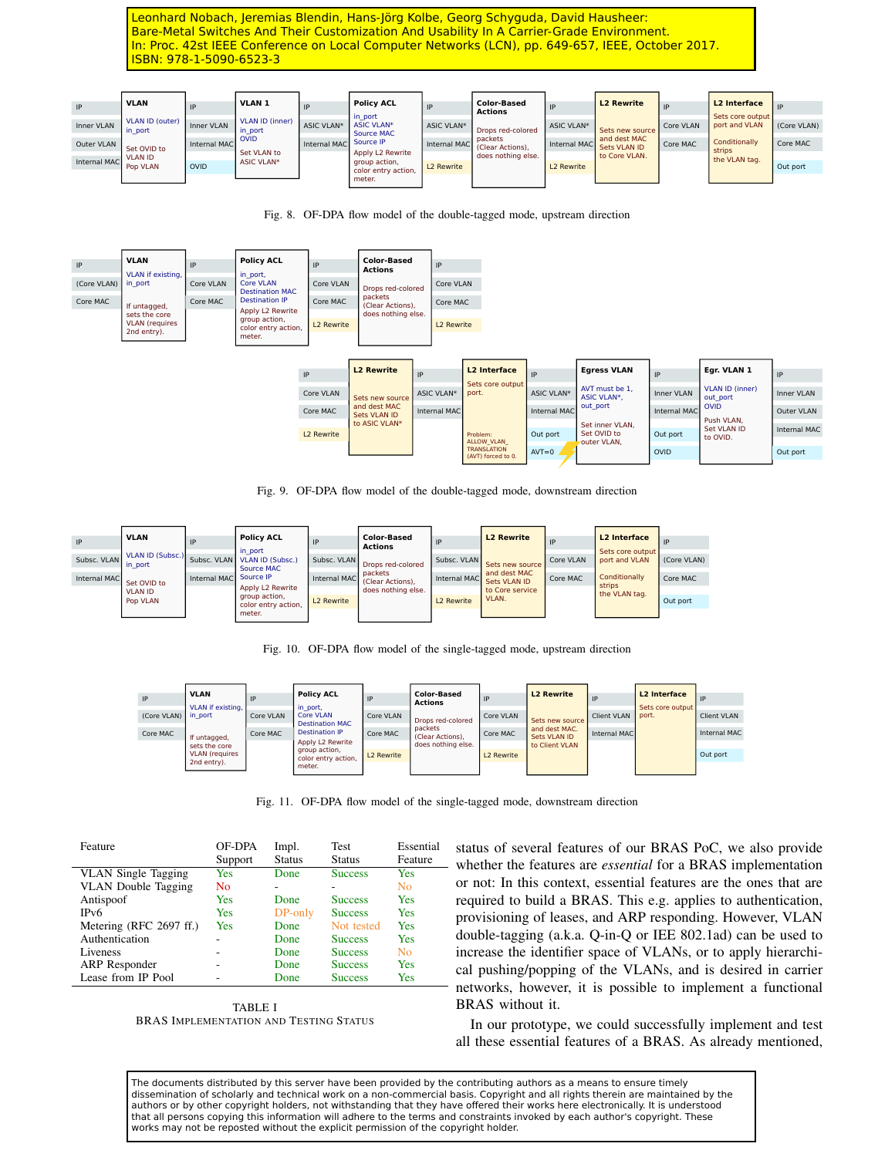| IP           | <b>VLAN</b>                |              | <b>VLAN 1</b>                     | IP                     | <b>Policy ACL</b>                          | IP                     | <b>Color-Based</b><br><b>Actions</b> | IP                     | L <sub>2</sub> Rewrite       |           | <b>L2</b> Interface               |             |
|--------------|----------------------------|--------------|-----------------------------------|------------------------|--------------------------------------------|------------------------|--------------------------------------|------------------------|------------------------------|-----------|-----------------------------------|-------------|
| Inner VLAN   | VLAN ID (outer)<br>in port | Inner VLAN   | <b>VLAN ID (inner)</b><br>in port | <b>ASIC VLAN*</b>      | in port<br><b>ASIC VLAN*</b><br>Source MAC | ASIC VLAN*             | Drops red-colored                    | ASIC VLAN*             | Sets new source              | Core VLAN | Sets core output<br>port and VLAN | (Core VLAN) |
| Outer VLAN   | Set OVID to                | Internal MAC | OVID<br>Set VLAN to               | Internal MAC Source IP | Apply L2 Rewrite                           | Internal MAC           | packets<br>(Clear Actions).          | Internal MAC           | and dest MAC<br>Sets VLAN ID | Core MAC  | Conditionally<br>strips           | Core MAC    |
| Internal MAC | <b>VLAN ID</b><br>Pop VLAN | OVID         | ASIC VLAN*                        |                        | group action,<br>color entry action,       | L <sub>2</sub> Rewrite | does nothing else.                   | L <sub>2</sub> Rewrite | to Core VLAN.                |           | the VLAN tag.                     | Out port    |
|              |                            |              |                                   |                        | meter.                                     |                        |                                      |                        |                              |           |                                   |             |

Fig. 8. OF-DPA flow model of the double-tagged mode, upstream direction



Fig. 9. OF-DPA flow model of the double-tagged mode, downstream direction

| IP           | <b>VLAN</b>                 | IP                     | <b>Policy ACL</b>                         | IP                     | <b>Color-Based</b>                  | IP                | <b>L2 Rewrite</b>            | IP        | <b>L2</b> Interface               |             |
|--------------|-----------------------------|------------------------|-------------------------------------------|------------------------|-------------------------------------|-------------------|------------------------------|-----------|-----------------------------------|-------------|
| Subsc. VLAN  | VLAN ID (Subsc.)<br>in port |                        | in port<br>Subsc. VLAN   VLAN ID (Subsc.) | Subsc. VLAN            | <b>Actions</b><br>Drops red-colored | Subsc. VLAN       | Sets new source              | Core VLAN | Sets core output<br>port and VLAN | (Core VLAN) |
| Internal MAC | Set OVID to                 | Internal MAC Source IP | Source MAC<br>Apply L2 Rewrite            | Internal MAC           | packets<br>(Clear Actions).         | Internal MAC      | and dest MAC<br>Sets VLAN ID | Core MAC  | Conditionally<br>strips           | Core MAC    |
|              | <b>VLAN ID</b><br>Pop VLAN  |                        | group action,<br>color entry action,      | L <sub>2</sub> Rewrite | does nothing else.                  | <b>L2 Rewrite</b> | to Core service<br>VLAN.     |           | the VLAN tag.                     | Out port    |
|              |                             |                        | meter.                                    |                        |                                     |                   |                              |           |                                   |             |

Fig. 10. OF-DPA flow model of the single-tagged mode, upstream direction

| IP          | <b>VLAN</b><br>VLAN if existing,       | IP        | <b>Policy ACL</b><br>in port,              | IP                     | <b>Color-Based</b><br>Actions | IP                     | <b>L2 Rewrite</b>             | IP                 | <b>L2</b> Interface<br>Sets core output | IP           |
|-------------|----------------------------------------|-----------|--------------------------------------------|------------------------|-------------------------------|------------------------|-------------------------------|--------------------|-----------------------------------------|--------------|
| (Core VLAN) | in port                                | Core VLAN | <b>Core VLAN</b><br><b>Destination MAC</b> | Core VLAN              | Drops red-colored             | Core VLAN              | Sets new source               | <b>Client VLAN</b> | port.                                   | Client VLAN  |
| Core MAC    | If untagged,                           | Core MAC  | <b>Destination IP</b>                      | Core MAC               | packets<br>(Clear Actions).   | Core MAC               | and dest MAC.<br>Sets VLAN ID | Internal MAC       |                                         | Internal MAC |
|             | sets the core<br><b>VLAN</b> (requires |           | Apply L2 Rewrite<br>group action,          |                        | does nothing else.            |                        | to Client VLAN                |                    |                                         |              |
|             | 2nd entry).                            |           | color entry action,<br>meter.              | L <sub>2</sub> Rewrite |                               | L <sub>2</sub> Rewrite |                               |                    |                                         | Out port     |
|             |                                        |           |                                            |                        |                               |                        |                               |                    |                                         |              |

Fig. 11. OF-DPA flow model of the single-tagged mode, downstream direction

| Feature                    | OF-DPA<br>Support | Impl.<br><b>Status</b> | <b>Test</b><br><b>Status</b> | Essential<br>Feature |
|----------------------------|-------------------|------------------------|------------------------------|----------------------|
| <b>VLAN</b> Single Tagging | <b>Yes</b>        | Done                   | <b>Success</b>               | Yes                  |
| <b>VLAN</b> Double Tagging | N <sub>0</sub>    | ۰                      |                              | N <sub>0</sub>       |
| Antispoof                  | <b>Yes</b>        | Done                   | <b>Success</b>               | <b>Yes</b>           |
| IP <sub>v</sub> 6          | Yes               | DP-only                | <b>Success</b>               | <b>Yes</b>           |
| Metering (RFC 2697 ff.)    | <b>Yes</b>        | Done                   | Not tested                   | <b>Yes</b>           |
| Authentication             |                   | Done                   | <b>Success</b>               | <b>Yes</b>           |
| Liveness                   |                   | Done                   | <b>Success</b>               | No                   |
| <b>ARP</b> Responder       | -                 | Done                   | <b>Success</b>               | <b>Yes</b>           |
| Lease from IP Pool         |                   | Done                   | <b>Success</b>               | Yes                  |

TABLE I BRAS IMPLEMENTATION AND TESTING STATUS

status of several features of our BRAS PoC, we also provide whether the features are *essential* for a BRAS implementation or not: In this context, essential features are the ones that are required to build a BRAS. This e.g. applies to authentication, provisioning of leases, and ARP responding. However, VLAN double-tagging (a.k.a. Q-in-Q or IEE 802.1ad) can be used to increase the identifier space of VLANs, or to apply hierarchical pushing/popping of the VLANs, and is desired in carrier networks, however, it is possible to implement a functional BRAS without it.

In our prototype, we could successfully implement and test all these essential features of a BRAS. As already mentioned,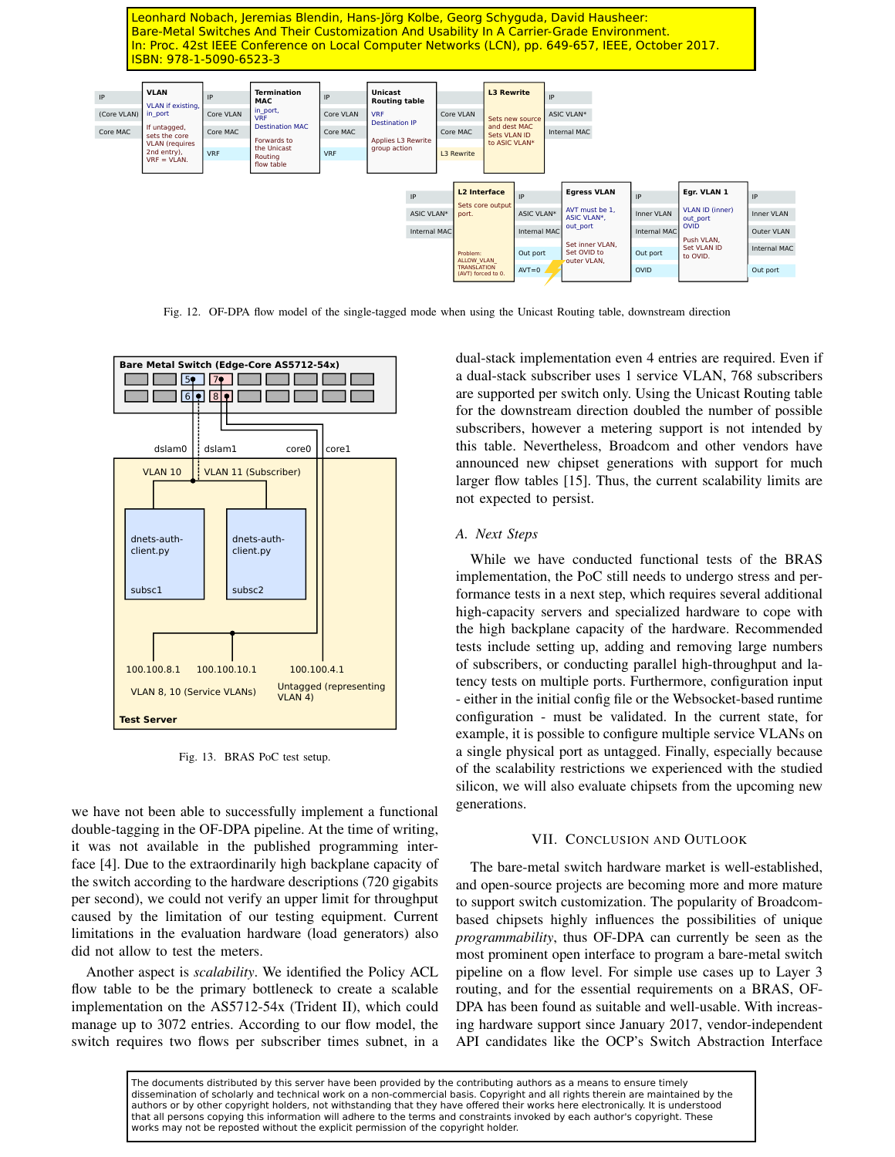

Fig. 12. OF-DPA flow model of the single-tagged mode when using the Unicast Routing table, downstream direction



Fig. 13. BRAS PoC test setup.

we have not been able to successfully implement a functional double-tagging in the OF-DPA pipeline. At the time of writing, it was not available in the published programming interface [4]. Due to the extraordinarily high backplane capacity of the switch according to the hardware descriptions (720 gigabits per second), we could not verify an upper limit for throughput caused by the limitation of our testing equipment. Current limitations in the evaluation hardware (load generators) also did not allow to test the meters.

Another aspect is *scalability*. We identified the Policy ACL flow table to be the primary bottleneck to create a scalable implementation on the AS5712-54x (Trident II), which could manage up to 3072 entries. According to our flow model, the switch requires two flows per subscriber times subnet, in a

dual-stack implementation even 4 entries are required. Even if a dual-stack subscriber uses 1 service VLAN, 768 subscribers are supported per switch only. Using the Unicast Routing table for the downstream direction doubled the number of possible subscribers, however a metering support is not intended by this table. Nevertheless, Broadcom and other vendors have announced new chipset generations with support for much larger flow tables [15]. Thus, the current scalability limits are not expected to persist.

#### *A. Next Steps*

While we have conducted functional tests of the BRAS implementation, the PoC still needs to undergo stress and performance tests in a next step, which requires several additional high-capacity servers and specialized hardware to cope with the high backplane capacity of the hardware. Recommended tests include setting up, adding and removing large numbers of subscribers, or conducting parallel high-throughput and latency tests on multiple ports. Furthermore, configuration input - either in the initial config file or the Websocket-based runtime configuration - must be validated. In the current state, for example, it is possible to configure multiple service VLANs on a single physical port as untagged. Finally, especially because of the scalability restrictions we experienced with the studied silicon, we will also evaluate chipsets from the upcoming new generations.

#### VII. CONCLUSION AND OUTLOOK

The bare-metal switch hardware market is well-established, and open-source projects are becoming more and more mature to support switch customization. The popularity of Broadcombased chipsets highly influences the possibilities of unique *programmability*, thus OF-DPA can currently be seen as the most prominent open interface to program a bare-metal switch pipeline on a flow level. For simple use cases up to Layer 3 routing, and for the essential requirements on a BRAS, OF-DPA has been found as suitable and well-usable. With increasing hardware support since January 2017, vendor-independent API candidates like the OCP's Switch Abstraction Interface